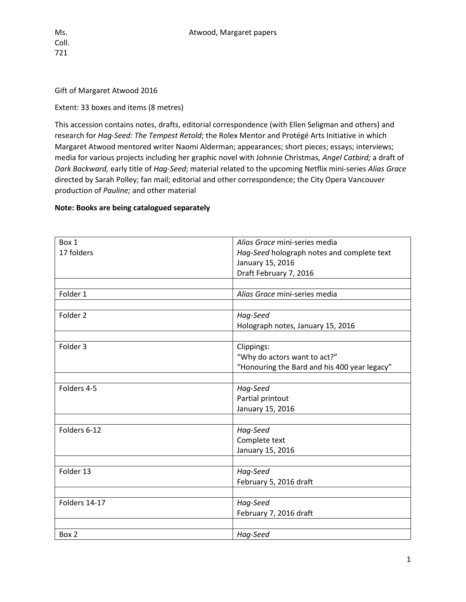## Gift of Margaret Atwood 2016

## Extent: 33 boxes and items (8 metres)

This accession contains notes, drafts, editorial correspondence (with Ellen Seligman and others) and research for *Hag-Seed: The Tempest Retold*; the Rolex Mentor and Protégé Arts Initiative in which Margaret Atwood mentored writer Naomi Alderman; appearances; short pieces; essays; interviews; media for various projects including her graphic novel with Johnnie Christmas, *Angel Catbird;* a draft of *Dark Backward,* early title of *Hag-Seed*; material related to the upcoming Netflix mini-series *Alias Grace*  directed by Sarah Polley; fan mail; editorial and other correspondence; the City Opera Vancouver production of *Pauline;* and other material

## **Note: Books are being catalogued separately**

| Box 1         | Alias Grace mini-series media                |
|---------------|----------------------------------------------|
| 17 folders    | Hag-Seed holograph notes and complete text   |
|               | January 15, 2016                             |
|               | Draft February 7, 2016                       |
|               |                                              |
| Folder 1      | Alias Grace mini-series media                |
|               |                                              |
| Folder 2      | Hag-Seed                                     |
|               | Holograph notes, January 15, 2016            |
|               |                                              |
| Folder 3      | Clippings:                                   |
|               | "Why do actors want to act?"                 |
|               | "Honouring the Bard and his 400 year legacy" |
|               |                                              |
| Folders 4-5   | Hag-Seed                                     |
|               | Partial printout                             |
|               | January 15, 2016                             |
|               |                                              |
| Folders 6-12  | Hag-Seed                                     |
|               | Complete text                                |
|               | January 15, 2016                             |
|               |                                              |
| Folder 13     | Hag-Seed                                     |
|               | February 5, 2016 draft                       |
|               |                                              |
| Folders 14-17 | Hag-Seed                                     |
|               | February 7, 2016 draft                       |
|               |                                              |
| Box 2         | Hag-Seed                                     |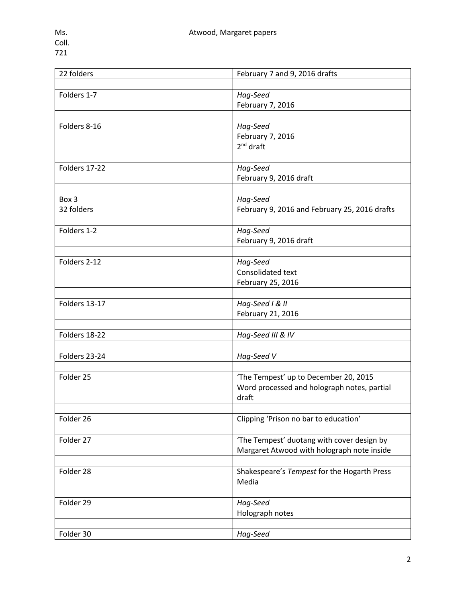| 22 folders    | February 7 and 9, 2016 drafts                 |
|---------------|-----------------------------------------------|
|               |                                               |
| Folders 1-7   | Hag-Seed                                      |
|               | February 7, 2016                              |
|               |                                               |
| Folders 8-16  | Hag-Seed                                      |
|               | February 7, 2016                              |
|               | 2 <sup>nd</sup> draft                         |
|               |                                               |
|               |                                               |
| Folders 17-22 | Hag-Seed                                      |
|               | February 9, 2016 draft                        |
|               |                                               |
| Box 3         | Hag-Seed                                      |
| 32 folders    | February 9, 2016 and February 25, 2016 drafts |
|               |                                               |
| Folders 1-2   | Hag-Seed                                      |
|               | February 9, 2016 draft                        |
|               |                                               |
| Folders 2-12  | Hag-Seed                                      |
|               | Consolidated text                             |
|               | February 25, 2016                             |
|               |                                               |
| Folders 13-17 | Hag-Seed I & II                               |
|               |                                               |
|               | February 21, 2016                             |
|               |                                               |
| Folders 18-22 | Hag-Seed III & IV                             |
|               |                                               |
| Folders 23-24 | Hag-Seed V                                    |
|               |                                               |
| Folder 25     | 'The Tempest' up to December 20, 2015         |
|               | Word processed and holograph notes, partial   |
|               | draft                                         |
|               |                                               |
| Folder 26     | Clipping 'Prison no bar to education'         |
|               |                                               |
| Folder 27     | 'The Tempest' duotang with cover design by    |
|               | Margaret Atwood with holograph note inside    |
|               |                                               |
| Folder 28     | Shakespeare's Tempest for the Hogarth Press   |
|               | Media                                         |
|               |                                               |
|               |                                               |
| Folder 29     | Hag-Seed                                      |
|               | Holograph notes                               |
|               |                                               |
| Folder 30     | Hag-Seed                                      |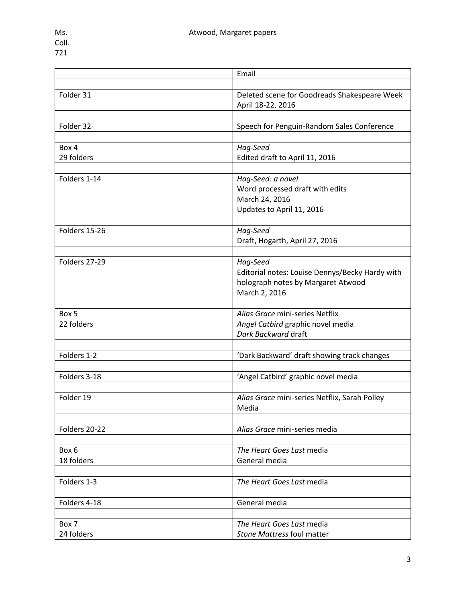|               | Email                                                             |
|---------------|-------------------------------------------------------------------|
|               |                                                                   |
| Folder 31     | Deleted scene for Goodreads Shakespeare Week<br>April 18-22, 2016 |
|               |                                                                   |
| Folder 32     | Speech for Penguin-Random Sales Conference                        |
|               |                                                                   |
| Box 4         | Hag-Seed                                                          |
| 29 folders    | Edited draft to April 11, 2016                                    |
|               |                                                                   |
| Folders 1-14  | Hag-Seed: a novel                                                 |
|               | Word processed draft with edits                                   |
|               | March 24, 2016                                                    |
|               | Updates to April 11, 2016                                         |
|               |                                                                   |
| Folders 15-26 | Hag-Seed                                                          |
|               | Draft, Hogarth, April 27, 2016                                    |
|               |                                                                   |
| Folders 27-29 | Hag-Seed                                                          |
|               | Editorial notes: Louise Dennys/Becky Hardy with                   |
|               | holograph notes by Margaret Atwood                                |
|               | March 2, 2016                                                     |
|               |                                                                   |
| Box 5         | Alias Grace mini-series Netflix                                   |
| 22 folders    | Angel Catbird graphic novel media                                 |
|               | Dark Backward draft                                               |
|               |                                                                   |
| Folders 1-2   | 'Dark Backward' draft showing track changes                       |
|               |                                                                   |
| Folders 3-18  | 'Angel Catbird' graphic novel media                               |
|               |                                                                   |
| Folder 19     | Alias Grace mini-series Netflix, Sarah Polley                     |
|               | Media                                                             |
| Folders 20-22 | Alias Grace mini-series media                                     |
|               |                                                                   |
| Box 6         | The Heart Goes Last media                                         |
| 18 folders    | General media                                                     |
|               |                                                                   |
| Folders 1-3   | The Heart Goes Last media                                         |
|               |                                                                   |
| Folders 4-18  | General media                                                     |
|               |                                                                   |
| Box 7         | The Heart Goes Last media                                         |
| 24 folders    | Stone Mattress foul matter                                        |
|               |                                                                   |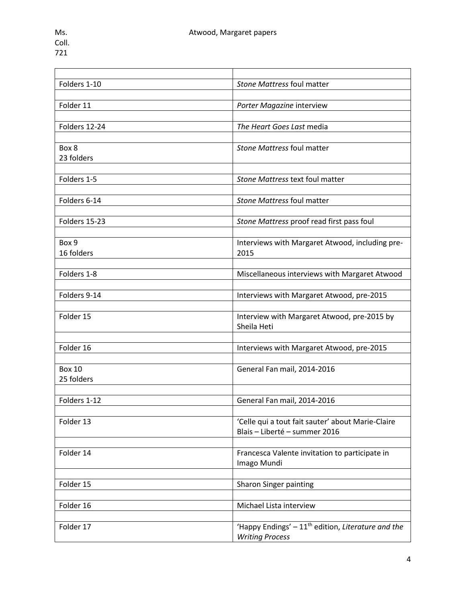| Folders 1-10  | Stone Mattress foul matter                          |
|---------------|-----------------------------------------------------|
|               |                                                     |
| Folder 11     | Porter Magazine interview                           |
|               |                                                     |
| Folders 12-24 | The Heart Goes Last media                           |
|               |                                                     |
| Box 8         | Stone Mattress foul matter                          |
| 23 folders    |                                                     |
|               |                                                     |
| Folders 1-5   | Stone Mattress text foul matter                     |
|               |                                                     |
| Folders 6-14  | Stone Mattress foul matter                          |
|               |                                                     |
| Folders 15-23 | Stone Mattress proof read first pass foul           |
|               |                                                     |
| Box 9         | Interviews with Margaret Atwood, including pre-     |
| 16 folders    | 2015                                                |
|               |                                                     |
| Folders 1-8   | Miscellaneous interviews with Margaret Atwood       |
|               |                                                     |
| Folders 9-14  | Interviews with Margaret Atwood, pre-2015           |
|               |                                                     |
| Folder 15     | Interview with Margaret Atwood, pre-2015 by         |
|               | Sheila Heti                                         |
| Folder 16     |                                                     |
|               | Interviews with Margaret Atwood, pre-2015           |
| <b>Box 10</b> |                                                     |
| 25 folders    | General Fan mail, 2014-2016                         |
|               |                                                     |
| Folders 1-12  | General Fan mail, 2014-2016                         |
|               |                                                     |
| Folder 13     | 'Celle qui a tout fait sauter' about Marie-Claire   |
|               | Blais - Liberté - summer 2016                       |
|               |                                                     |
| Folder 14     | Francesca Valente invitation to participate in      |
|               | Imago Mundi                                         |
|               |                                                     |
| Folder 15     | Sharon Singer painting                              |
|               |                                                     |
| Folder 16     | Michael Lista interview                             |
|               |                                                     |
| Folder 17     | 'Happy Endings' $-11th$ edition, Literature and the |
|               | <b>Writing Process</b>                              |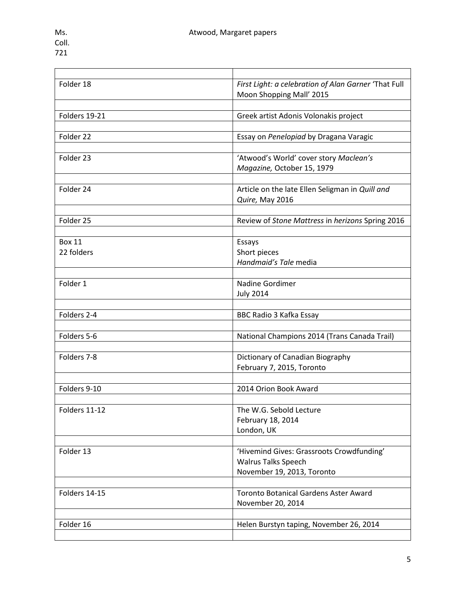| Folder 18     | First Light: a celebration of Alan Garner 'That Full |
|---------------|------------------------------------------------------|
|               | Moon Shopping Mall' 2015                             |
|               |                                                      |
| Folders 19-21 | Greek artist Adonis Volonakis project                |
|               |                                                      |
| Folder 22     | Essay on Penelopiad by Dragana Varagic               |
|               |                                                      |
| Folder 23     | 'Atwood's World' cover story Maclean's               |
|               | Magazine, October 15, 1979                           |
|               |                                                      |
| Folder 24     | Article on the late Ellen Seligman in Quill and      |
|               | Quire, May 2016                                      |
|               |                                                      |
| Folder 25     | Review of Stone Mattress in herizons Spring 2016     |
|               |                                                      |
| <b>Box 11</b> | Essays                                               |
| 22 folders    | Short pieces                                         |
|               | Handmaid's Tale media                                |
|               |                                                      |
| Folder 1      | Nadine Gordimer                                      |
|               | <b>July 2014</b>                                     |
|               |                                                      |
| Folders 2-4   | BBC Radio 3 Kafka Essay                              |
|               |                                                      |
| Folders 5-6   | National Champions 2014 (Trans Canada Trail)         |
|               |                                                      |
| Folders 7-8   | Dictionary of Canadian Biography                     |
|               | February 7, 2015, Toronto                            |
|               |                                                      |
| Folders 9-10  | 2014 Orion Book Award                                |
|               |                                                      |
| Folders 11-12 | The W.G. Sebold Lecture                              |
|               | February 18, 2014                                    |
|               | London, UK                                           |
|               |                                                      |
| Folder 13     | 'Hivemind Gives: Grassroots Crowdfunding'            |
|               | <b>Walrus Talks Speech</b>                           |
|               | November 19, 2013, Toronto                           |
|               |                                                      |
| Folders 14-15 | <b>Toronto Botanical Gardens Aster Award</b>         |
|               | November 20, 2014                                    |
|               |                                                      |
| Folder 16     | Helen Burstyn taping, November 26, 2014              |
|               |                                                      |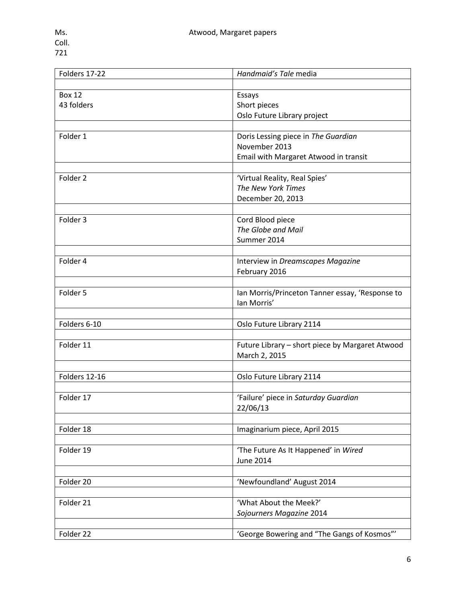| Folders 17-22       | Handmaid's Tale media                           |
|---------------------|-------------------------------------------------|
|                     |                                                 |
| <b>Box 12</b>       | Essays                                          |
| 43 folders          | Short pieces                                    |
|                     | Oslo Future Library project                     |
|                     |                                                 |
| Folder 1            | Doris Lessing piece in The Guardian             |
|                     | November 2013                                   |
|                     | Email with Margaret Atwood in transit           |
|                     |                                                 |
| Folder <sub>2</sub> | 'Virtual Reality, Real Spies'                   |
|                     | The New York Times                              |
|                     | December 20, 2013                               |
|                     |                                                 |
| Folder 3            | Cord Blood piece                                |
|                     | The Globe and Mail                              |
|                     | Summer 2014                                     |
|                     |                                                 |
| Folder 4            | Interview in Dreamscapes Magazine               |
|                     | February 2016                                   |
|                     |                                                 |
| Folder 5            | Ian Morris/Princeton Tanner essay, 'Response to |
|                     | lan Morris'                                     |
|                     |                                                 |
| Folders 6-10        | Oslo Future Library 2114                        |
|                     |                                                 |
| Folder 11           | Future Library - short piece by Margaret Atwood |
|                     | March 2, 2015                                   |
|                     |                                                 |
| Folders 12-16       | Oslo Future Library 2114                        |
|                     |                                                 |
| Folder 17           | 'Failure' piece in Saturday Guardian            |
|                     | 22/06/13                                        |
|                     |                                                 |
| Folder 18           | Imaginarium piece, April 2015                   |
|                     |                                                 |
| Folder 19           | 'The Future As It Happened' in Wired            |
|                     | <b>June 2014</b>                                |
|                     |                                                 |
| Folder 20           | 'Newfoundland' August 2014                      |
|                     |                                                 |
| Folder 21           | 'What About the Meek?'                          |
|                     | Sojourners Magazine 2014                        |
|                     |                                                 |
| Folder 22           | 'George Bowering and "The Gangs of Kosmos"'     |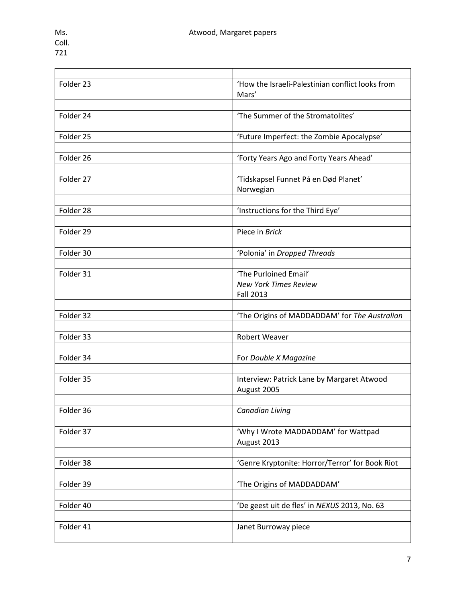<u> 1989 - Johann Barn, mars et al. (b. 1989)</u>

| Folder 23 | 'How the Israeli-Palestinian conflict looks from |
|-----------|--------------------------------------------------|
|           | Mars'                                            |
|           |                                                  |
| Folder 24 | 'The Summer of the Stromatolites'                |
|           |                                                  |
| Folder 25 | 'Future Imperfect: the Zombie Apocalypse'        |
|           |                                                  |
| Folder 26 | 'Forty Years Ago and Forty Years Ahead'          |
|           |                                                  |
| Folder 27 | 'Tidskapsel Funnet På en Død Planet'             |
|           | Norwegian                                        |
|           |                                                  |
| Folder 28 | 'Instructions for the Third Eye'                 |
|           |                                                  |
| Folder 29 | Piece in Brick                                   |
|           |                                                  |
| Folder 30 | 'Polonia' in Dropped Threads                     |
|           |                                                  |
| Folder 31 | 'The Purloined Email'                            |
|           | <b>New York Times Review</b>                     |
|           | <b>Fall 2013</b>                                 |
|           |                                                  |
| Folder 32 | 'The Origins of MADDADDAM' for The Australian    |
|           |                                                  |
| Folder 33 | <b>Robert Weaver</b>                             |
|           |                                                  |
| Folder 34 | For Double X Magazine                            |
|           |                                                  |
| Folder 35 | Interview: Patrick Lane by Margaret Atwood       |
|           | August 2005                                      |
|           |                                                  |
| Folder 36 | <b>Canadian Living</b>                           |
|           |                                                  |
| Folder 37 | 'Why I Wrote MADDADDAM' for Wattpad              |
|           | August 2013                                      |
|           |                                                  |
| Folder 38 | 'Genre Kryptonite: Horror/Terror' for Book Riot  |
|           |                                                  |
| Folder 39 | 'The Origins of MADDADDAM'                       |
|           |                                                  |
| Folder 40 | 'De geest uit de fles' in NEXUS 2013, No. 63     |
|           |                                                  |
| Folder 41 | Janet Burroway piece                             |
|           |                                                  |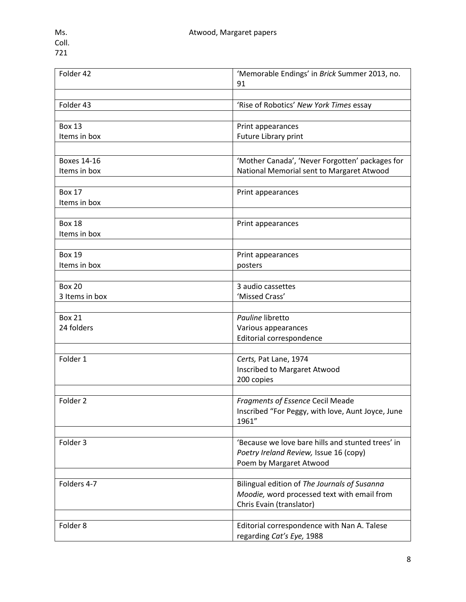| Folder 42           | 'Memorable Endings' in Brick Summer 2013, no.<br>91 |
|---------------------|-----------------------------------------------------|
|                     |                                                     |
| Folder 43           | 'Rise of Robotics' New York Times essay             |
|                     |                                                     |
| <b>Box 13</b>       | Print appearances                                   |
| Items in box        | Future Library print                                |
|                     |                                                     |
| <b>Boxes 14-16</b>  | 'Mother Canada', 'Never Forgotten' packages for     |
| Items in box        | National Memorial sent to Margaret Atwood           |
|                     |                                                     |
| <b>Box 17</b>       | Print appearances                                   |
| Items in box        |                                                     |
|                     |                                                     |
| <b>Box 18</b>       | Print appearances                                   |
| Items in box        |                                                     |
|                     |                                                     |
| <b>Box 19</b>       | Print appearances                                   |
| Items in box        | posters                                             |
|                     |                                                     |
| <b>Box 20</b>       | 3 audio cassettes                                   |
| 3 Items in box      | 'Missed Crass'                                      |
|                     |                                                     |
| <b>Box 21</b>       | Pauline libretto                                    |
| 24 folders          | Various appearances                                 |
|                     | Editorial correspondence                            |
|                     |                                                     |
| Folder 1            | Certs, Pat Lane, 1974                               |
|                     | Inscribed to Margaret Atwood                        |
|                     | 200 copies                                          |
|                     |                                                     |
| Folder <sub>2</sub> | <b>Fragments of Essence Cecil Meade</b>             |
|                     | Inscribed "For Peggy, with love, Aunt Joyce, June   |
|                     | 1961"                                               |
|                     |                                                     |
| Folder 3            | 'Because we love bare hills and stunted trees' in   |
|                     | Poetry Ireland Review, Issue 16 (copy)              |
|                     | Poem by Margaret Atwood                             |
|                     |                                                     |
| Folders 4-7         | Bilingual edition of The Journals of Susanna        |
|                     | Moodie, word processed text with email from         |
|                     | Chris Evain (translator)                            |
|                     |                                                     |
| Folder 8            | Editorial correspondence with Nan A. Talese         |
|                     | regarding Cat's Eye, 1988                           |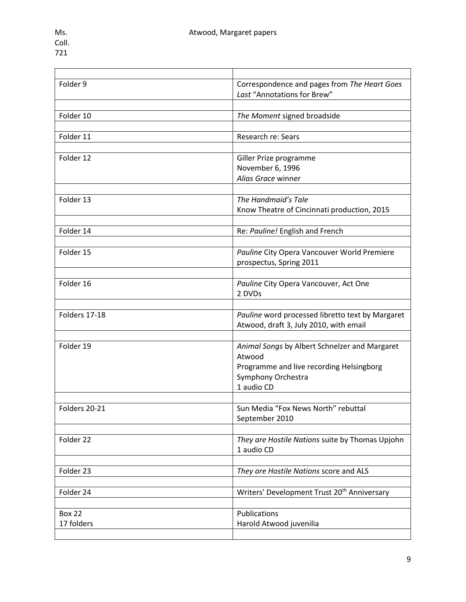| Folder 9      | Correspondence and pages from The Heart Goes            |
|---------------|---------------------------------------------------------|
|               | Last "Annotations for Brew"                             |
|               |                                                         |
| Folder 10     | The Moment signed broadside                             |
|               |                                                         |
| Folder 11     | Research re: Sears                                      |
|               |                                                         |
| Folder 12     | Giller Prize programme                                  |
|               | November 6, 1996                                        |
|               | Alias Grace winner                                      |
|               |                                                         |
| Folder 13     | The Handmaid's Tale                                     |
|               | Know Theatre of Cincinnati production, 2015             |
|               |                                                         |
| Folder 14     | Re: Pauline! English and French                         |
|               |                                                         |
| Folder 15     | Pauline City Opera Vancouver World Premiere             |
|               | prospectus, Spring 2011                                 |
|               |                                                         |
| Folder 16     | Pauline City Opera Vancouver, Act One                   |
|               | 2 DVDs                                                  |
|               |                                                         |
| Folders 17-18 | Pauline word processed libretto text by Margaret        |
|               | Atwood, draft 3, July 2010, with email                  |
|               |                                                         |
| Folder 19     | Animal Songs by Albert Schnelzer and Margaret           |
|               | Atwood                                                  |
|               | Programme and live recording Helsingborg                |
|               | Symphony Orchestra                                      |
|               | 1 audio CD                                              |
|               |                                                         |
| Folders 20-21 | Sun Media "Fox News North" rebuttal                     |
|               | September 2010                                          |
|               |                                                         |
| Folder 22     | They are Hostile Nations suite by Thomas Upjohn         |
|               | 1 audio CD                                              |
|               |                                                         |
| Folder 23     | They are Hostile Nations score and ALS                  |
|               |                                                         |
| Folder 24     | Writers' Development Trust 20 <sup>th</sup> Anniversary |
|               |                                                         |
| <b>Box 22</b> | Publications                                            |
| 17 folders    | Harold Atwood juvenilia                                 |
|               |                                                         |
|               |                                                         |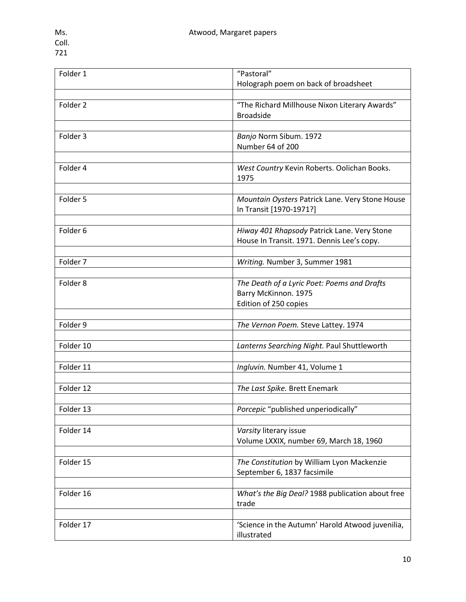| Folder 1  | "Pastoral"<br>Holograph poem on back of broadsheet                                        |
|-----------|-------------------------------------------------------------------------------------------|
|           |                                                                                           |
| Folder 2  | "The Richard Millhouse Nixon Literary Awards"<br><b>Broadside</b>                         |
|           |                                                                                           |
| Folder 3  | Banjo Norm Sibum. 1972<br>Number 64 of 200                                                |
|           |                                                                                           |
| Folder 4  | West Country Kevin Roberts. Oolichan Books.<br>1975                                       |
|           |                                                                                           |
| Folder 5  | Mountain Oysters Patrick Lane. Very Stone House<br>In Transit [1970-1971?]                |
|           |                                                                                           |
| Folder 6  | Hiway 401 Rhapsody Patrick Lane. Very Stone<br>House In Transit. 1971. Dennis Lee's copy. |
|           |                                                                                           |
| Folder 7  | Writing. Number 3, Summer 1981                                                            |
|           |                                                                                           |
| Folder 8  | The Death of a Lyric Poet: Poems and Drafts                                               |
|           | Barry McKinnon. 1975                                                                      |
|           | Edition of 250 copies                                                                     |
|           |                                                                                           |
| Folder 9  | The Vernon Poem. Steve Lattey. 1974                                                       |
|           |                                                                                           |
| Folder 10 | Lanterns Searching Night. Paul Shuttleworth                                               |
|           |                                                                                           |
| Folder 11 | Ingluvin. Number 41, Volume 1                                                             |
|           |                                                                                           |
| Folder 12 | The Last Spike. Brett Enemark                                                             |
|           |                                                                                           |
| Folder 13 | Porcepic "published unperiodically"                                                       |
|           |                                                                                           |
| Folder 14 | Varsity literary issue<br>Volume LXXIX, number 69, March 18, 1960                         |
|           |                                                                                           |
| Folder 15 | The Constitution by William Lyon Mackenzie<br>September 6, 1837 facsimile                 |
|           |                                                                                           |
| Folder 16 | What's the Big Deal? 1988 publication about free<br>trade                                 |
|           |                                                                                           |
| Folder 17 | 'Science in the Autumn' Harold Atwood juvenilia,<br>illustrated                           |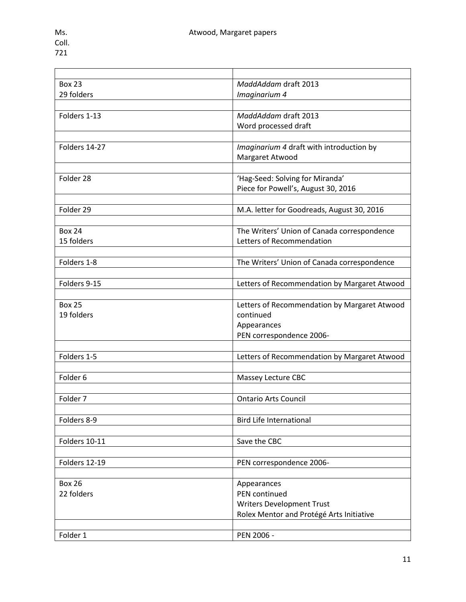| <b>Box 23</b>       | MaddAddam draft 2013                         |
|---------------------|----------------------------------------------|
| 29 folders          | Imaginarium 4                                |
|                     |                                              |
| Folders 1-13        | MaddAddam draft 2013                         |
|                     | Word processed draft                         |
|                     |                                              |
| Folders 14-27       | Imaginarium 4 draft with introduction by     |
|                     | Margaret Atwood                              |
|                     |                                              |
| Folder 28           | 'Hag-Seed: Solving for Miranda'              |
|                     | Piece for Powell's, August 30, 2016          |
|                     |                                              |
| Folder 29           | M.A. letter for Goodreads, August 30, 2016   |
|                     |                                              |
| <b>Box 24</b>       | The Writers' Union of Canada correspondence  |
| 15 folders          | Letters of Recommendation                    |
|                     |                                              |
| Folders 1-8         | The Writers' Union of Canada correspondence  |
|                     |                                              |
| Folders 9-15        | Letters of Recommendation by Margaret Atwood |
|                     |                                              |
| <b>Box 25</b>       | Letters of Recommendation by Margaret Atwood |
| 19 folders          | continued                                    |
|                     | Appearances                                  |
|                     | PEN correspondence 2006-                     |
| Folders 1-5         |                                              |
|                     | Letters of Recommendation by Margaret Atwood |
|                     |                                              |
| Folder 6            | Massey Lecture CBC                           |
| Folder <sub>7</sub> | <b>Ontario Arts Council</b>                  |
|                     |                                              |
| Folders 8-9         | <b>Bird Life International</b>               |
|                     |                                              |
| Folders 10-11       | Save the CBC                                 |
|                     |                                              |
| Folders 12-19       | PEN correspondence 2006-                     |
|                     |                                              |
| <b>Box 26</b>       | Appearances                                  |
| 22 folders          | PEN continued                                |
|                     | <b>Writers Development Trust</b>             |
|                     | Rolex Mentor and Protégé Arts Initiative     |
|                     |                                              |
| Folder 1            | PEN 2006 -                                   |
|                     |                                              |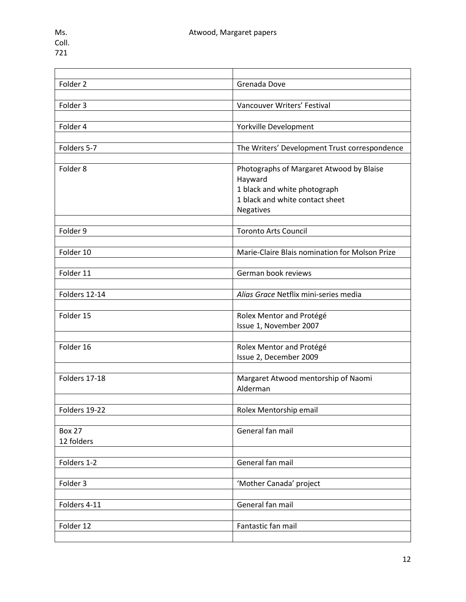| Folder 2      | Grenada Dove                                   |
|---------------|------------------------------------------------|
|               |                                                |
| Folder 3      | Vancouver Writers' Festival                    |
|               |                                                |
| Folder 4      | Yorkville Development                          |
|               |                                                |
| Folders 5-7   | The Writers' Development Trust correspondence  |
|               |                                                |
| Folder 8      | Photographs of Margaret Atwood by Blaise       |
|               | Hayward                                        |
|               | 1 black and white photograph                   |
|               | 1 black and white contact sheet                |
|               | Negatives                                      |
|               |                                                |
| Folder 9      | <b>Toronto Arts Council</b>                    |
|               |                                                |
| Folder 10     | Marie-Claire Blais nomination for Molson Prize |
|               |                                                |
| Folder 11     | German book reviews                            |
|               |                                                |
| Folders 12-14 |                                                |
|               | Alias Grace Netflix mini-series media          |
|               |                                                |
| Folder 15     | Rolex Mentor and Protégé                       |
|               | Issue 1, November 2007                         |
|               |                                                |
| Folder 16     | Rolex Mentor and Protégé                       |
|               | Issue 2, December 2009                         |
|               |                                                |
| Folders 17-18 | Margaret Atwood mentorship of Naomi            |
|               | Alderman                                       |
|               |                                                |
| Folders 19-22 | Rolex Mentorship email                         |
|               |                                                |
| <b>Box 27</b> | General fan mail                               |
| 12 folders    |                                                |
|               |                                                |
| Folders 1-2   | General fan mail                               |
|               |                                                |
| Folder 3      | 'Mother Canada' project                        |
|               |                                                |
| Folders 4-11  | General fan mail                               |
|               |                                                |
| Folder 12     | Fantastic fan mail                             |
|               |                                                |

 $\overline{\phantom{0}}$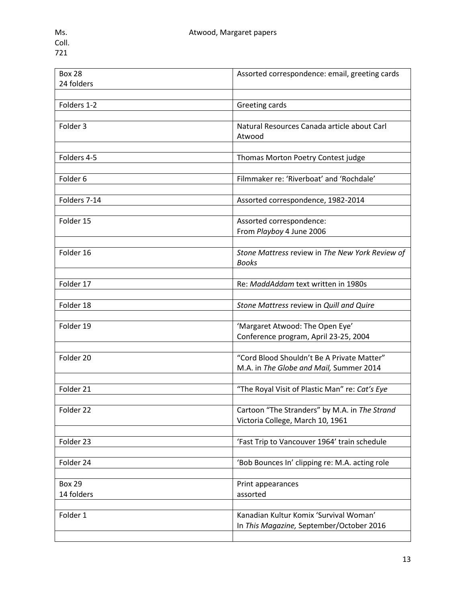| <b>Box 28</b> | Assorted correspondence: email, greeting cards        |
|---------------|-------------------------------------------------------|
| 24 folders    |                                                       |
|               |                                                       |
| Folders 1-2   | Greeting cards                                        |
|               |                                                       |
| Folder 3      | Natural Resources Canada article about Carl<br>Atwood |
|               |                                                       |
| Folders 4-5   | Thomas Morton Poetry Contest judge                    |
|               |                                                       |
| Folder 6      | Filmmaker re: 'Riverboat' and 'Rochdale'              |
|               |                                                       |
| Folders 7-14  | Assorted correspondence, 1982-2014                    |
|               |                                                       |
| Folder 15     | Assorted correspondence:                              |
|               | From Playboy 4 June 2006                              |
|               |                                                       |
| Folder 16     | Stone Mattress review in The New York Review of       |
|               | <b>Books</b>                                          |
|               |                                                       |
|               |                                                       |
| Folder 17     | Re: MaddAddam text written in 1980s                   |
|               |                                                       |
| Folder 18     | Stone Mattress review in Quill and Quire              |
|               |                                                       |
| Folder 19     | 'Margaret Atwood: The Open Eye'                       |
|               | Conference program, April 23-25, 2004                 |
|               |                                                       |
| Folder 20     | "Cord Blood Shouldn't Be A Private Matter"            |
|               | M.A. in The Globe and Mail, Summer 2014               |
|               |                                                       |
| Folder 21     | "The Royal Visit of Plastic Man" re: Cat's Eye        |
|               |                                                       |
| Folder 22     | Cartoon "The Stranders" by M.A. in The Strand         |
|               | Victoria College, March 10, 1961                      |
|               |                                                       |
|               |                                                       |
| Folder 23     | 'Fast Trip to Vancouver 1964' train schedule          |
|               |                                                       |
| Folder 24     | 'Bob Bounces In' clipping re: M.A. acting role        |
|               |                                                       |
| <b>Box 29</b> | Print appearances                                     |
| 14 folders    | assorted                                              |
|               |                                                       |
| Folder 1      | Kanadian Kultur Komix 'Survival Woman'                |
|               | In This Magazine, September/October 2016              |
|               |                                                       |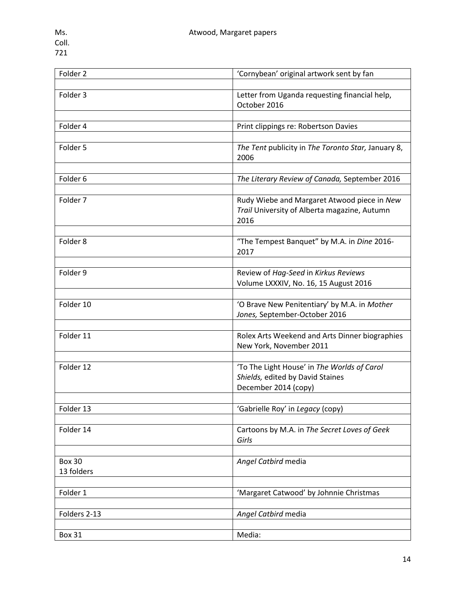| Folder <sub>2</sub> | 'Cornybean' original artwork sent by fan                                                            |
|---------------------|-----------------------------------------------------------------------------------------------------|
|                     |                                                                                                     |
| Folder 3            | Letter from Uganda requesting financial help,<br>October 2016                                       |
|                     |                                                                                                     |
| Folder 4            | Print clippings re: Robertson Davies                                                                |
|                     |                                                                                                     |
| Folder 5            | The Tent publicity in The Toronto Star, January 8,<br>2006                                          |
|                     |                                                                                                     |
| Folder <sub>6</sub> | The Literary Review of Canada, September 2016                                                       |
|                     |                                                                                                     |
| Folder 7            | Rudy Wiebe and Margaret Atwood piece in New<br>Trail University of Alberta magazine, Autumn<br>2016 |
|                     |                                                                                                     |
| Folder 8            | "The Tempest Banquet" by M.A. in Dine 2016-<br>2017                                                 |
|                     |                                                                                                     |
| Folder 9            | Review of Hag-Seed in Kirkus Reviews                                                                |
|                     | Volume LXXXIV, No. 16, 15 August 2016                                                               |
|                     |                                                                                                     |
| Folder 10           | 'O Brave New Penitentiary' by M.A. in Mother<br>Jones, September-October 2016                       |
|                     |                                                                                                     |
| Folder 11           | Rolex Arts Weekend and Arts Dinner biographies<br>New York, November 2011                           |
|                     |                                                                                                     |
| Folder 12           | 'To The Light House' in The Worlds of Carol                                                         |
|                     | Shields, edited by David Staines                                                                    |
|                     | December 2014 (copy)                                                                                |
|                     |                                                                                                     |
| Folder 13           | 'Gabrielle Roy' in Legacy (copy)                                                                    |
|                     |                                                                                                     |
| Folder 14           | Cartoons by M.A. in The Secret Loves of Geek<br>Girls                                               |
|                     |                                                                                                     |
| <b>Box 30</b>       | Angel Catbird media                                                                                 |
| 13 folders          |                                                                                                     |
|                     |                                                                                                     |
| Folder 1            | 'Margaret Catwood' by Johnnie Christmas                                                             |
|                     |                                                                                                     |
| Folders 2-13        | Angel Catbird media                                                                                 |
|                     |                                                                                                     |
| <b>Box 31</b>       | Media:                                                                                              |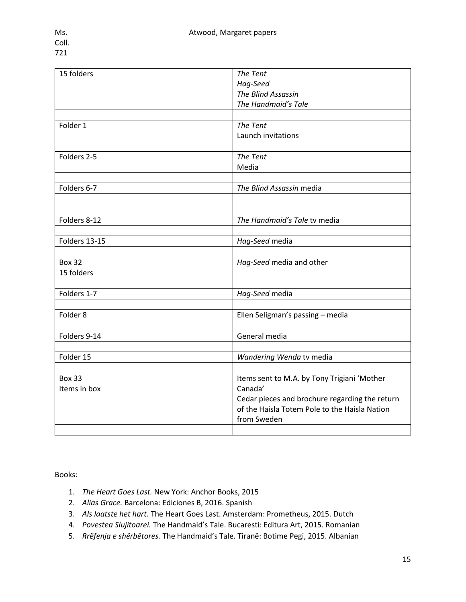| 15 folders    | The Tent                                       |
|---------------|------------------------------------------------|
|               | Hag-Seed                                       |
|               | The Blind Assassin                             |
|               | The Handmaid's Tale                            |
|               |                                                |
| Folder 1      | The Tent                                       |
|               | Launch invitations                             |
|               |                                                |
| Folders 2-5   | The Tent                                       |
|               | Media                                          |
|               |                                                |
| Folders 6-7   | The Blind Assassin media                       |
|               |                                                |
|               |                                                |
| Folders 8-12  | The Handmaid's Tale tv media                   |
|               |                                                |
| Folders 13-15 | Hag-Seed media                                 |
|               |                                                |
| <b>Box 32</b> | Hag-Seed media and other                       |
| 15 folders    |                                                |
|               |                                                |
| Folders 1-7   | Hag-Seed media                                 |
|               |                                                |
| Folder 8      | Ellen Seligman's passing - media               |
|               |                                                |
| Folders 9-14  | General media                                  |
|               |                                                |
| Folder 15     | Wandering Wenda tv media                       |
|               |                                                |
| <b>Box 33</b> | Items sent to M.A. by Tony Trigiani 'Mother    |
| Items in box  | Canada'                                        |
|               | Cedar pieces and brochure regarding the return |
|               | of the Haisla Totem Pole to the Haisla Nation  |
|               | from Sweden                                    |
|               |                                                |

Books:

- 1. *The Heart Goes Last.* New York: Anchor Books, 2015
- 2. *Alias Grace.* Barcelona: Ediciones B, 2016. Spanish
- 3. *Als laatste het hart.* The Heart Goes Last. Amsterdam: Prometheus, 2015. Dutch
- 4. *Povestea Slujitoarei.* The Handmaid's Tale. Bucaresti: Editura Art, 2015. Romanian
- 5. *Rrëfenja e shërbëtores.* The Handmaid's Tale. Tiranë: Botime Pegi, 2015. Albanian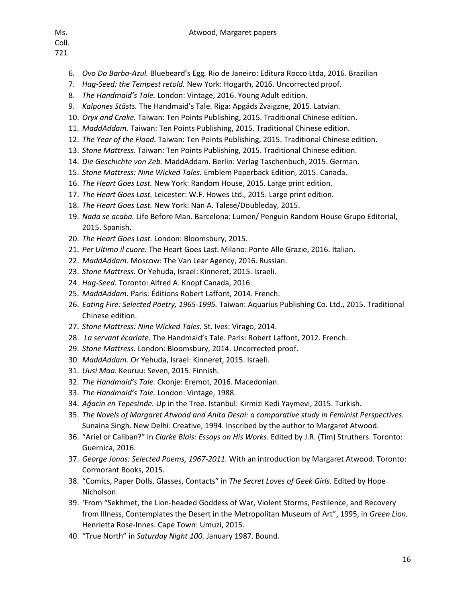- 721
	- 6. *Ovo Do Barba-Azul.* Bluebeard's Egg*.* Rio de Janeiro: Editura Rocco Ltda, 2016. Brazilian
	- 7. *Hag-Seed: the Tempest retold.* New York: Hogarth, 2016. Uncorrected proof.
	- 8. *The Handmaid's Tale.* London: Vintage, 2016. Young Adult edition.
	- 9. *Kalpones Stāsts.* The Handmaid's Tale. Riga: Apgäds Zvaigzne, 2015. Latvian.
	- 10. *Oryx and Crake.* Taiwan: Ten Points Publishing, 2015. Traditional Chinese edition.
	- 11. *MaddAddam.* Taiwan: Ten Points Publishing, 2015. Traditional Chinese edition.
	- 12. *The Year of the Flood.* Taiwan: Ten Points Publishing, 2015. Traditional Chinese edition.
	- 13. *Stone Mattress.* Taiwan: Ten Points Publishing, 2015. Traditional Chinese edition.
	- 14. *Die Geschichte von Zeb.* MaddAddam. Berlin: Verlag Taschenbuch, 2015. German.
	- 15. *Stone Mattress: Nine Wicked Tales.* Emblem Paperback Edition, 2015. Canada.
	- 16. *The Heart Goes Last.* New York: Random House, 2015. Large print edition.
	- 17. *The Heart Goes Last.* Leicester: W.F. Howes Ltd., 2015. Large print edition.
	- 18. *The Heart Goes Last.* New York: Nan A. Talese/Doubleday, 2015.
	- 19. *Nada se acaba.* Life Before Man. Barcelona: Lumen/ Penguin Random House Grupo Editorial, 2015. Spanish.
	- 20. *The Heart Goes Last.* London: Bloomsbury, 2015.
	- 21. *Per Ultimo il cuore.* The Heart Goes Last. Milano: Ponte Alle Grazie, 2016. Italian.
	- 22. *MaddAddam.* Moscow: The Van Lear Agency, 2016. Russian.
	- 23. *Stone Mattress.* Or Yehuda, Israel: Kinneret, 2015. Israeli.
	- 24. *Hag-Seed.* Toronto: Alfred A. Knopf Canada, 2016.
	- 25. *MaddAddam.* Paris: Éditions Robert Laffont, 2014. French.
	- 26. *Eating Fire: Selected Poetry, 1965-1995.* Taiwan: Aquarius Publishing Co. Ltd., 2015. Traditional Chinese edition.
	- 27. *Stone Mattress: Nine Wicked Tales.* St. Ives: Virago, 2014.
	- 28. *La servant écarlate.* The Handmaid's Tale. Paris: Robert Laffont, 2012. French.
	- 29. *Stone Mattress.* London: Bloomsbury, 2014. Uncorrected proof.
	- 30. *MaddAddam.* Or Yehuda, Israel: Kinneret, 2015. Israeli.
	- 31. *Uusi Maa.* Keuruu: Seven, 2015. Finnish.
	- 32. *The Handmaid's Tale.* Ckonje: Eremot, 2016. Macedonian.
	- 33. *The Handmaid's Tale.* London: Vintage, 1988.
	- 34. *Ağacin en Tepesίnde.* Up in the Tree. Istanbul: Kirmizi Kedi Yaymevi, 2015. Turkish.
	- 35. *The Novels of Margaret Atwood and Anita Desai: a comparative study in Feminist Perspectives.*  Sunaina Singh. New Delhi: Creative, 1994. Inscribed by the author to Margaret Atwood.
	- 36. "Ariel or Caliban?" in *Clarke Blais: Essays on His Works.* Edited by J.R. (Tim) Struthers. Toronto: Guernica, 2016.
	- 37. *George Jonas: Selected Poems, 1967-2011.* With an introduction by Margaret Atwood. Toronto: Cormorant Books, 2015.
	- 38. "Comics, Paper Dolls, Glasses, Contacts" in *The Secret Loves of Geek Girls.* Edited by Hope Nicholson.
	- 39. 'From "Sekhmet, the Lion-headed Goddess of War, Violent Storms, Pestilence, and Recovery from Illness, Contemplates the Desert in the Metropolitan Museum of Art", 1995, in *Green Lion.*  Henrietta Rose-Innes. Cape Town: Umuzi, 2015.
	- 40. "True North" in *Saturday Night 100.* January 1987. Bound.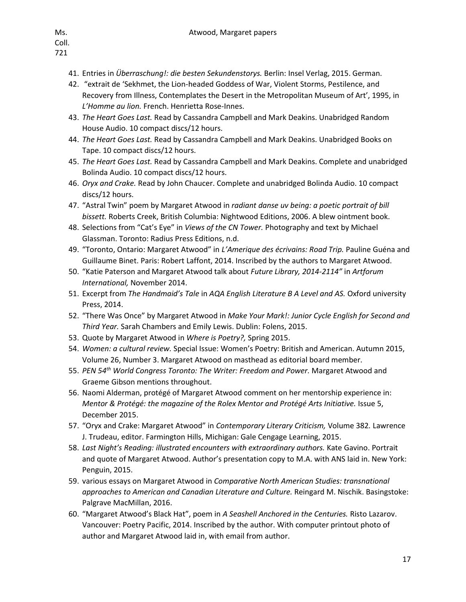721

- 41. Entries in *Überraschung!: die besten Sekundenstorys.* Berlin: Insel Verlag, 2015. German.
- 42. "extrait de 'Sekhmet, the Lion-headed Goddess of War, Violent Storms, Pestilence, and Recovery from Illness, Contemplates the Desert in the Metropolitan Museum of Art', 1995, in *L'Homme au lion.* French. Henrietta Rose-Innes.
- 43. *The Heart Goes Last.* Read by Cassandra Campbell and Mark Deakins. Unabridged Random House Audio. 10 compact discs/12 hours.
- 44. *The Heart Goes Last.* Read by Cassandra Campbell and Mark Deakins. Unabridged Books on Tape. 10 compact discs/12 hours.
- 45. *The Heart Goes Last.* Read by Cassandra Campbell and Mark Deakins. Complete and unabridged Bolinda Audio. 10 compact discs/12 hours.
- 46. *Oryx and Crake.* Read by John Chaucer. Complete and unabridged Bolinda Audio. 10 compact discs/12 hours.
- 47. "Astral Twin" poem by Margaret Atwood in *radiant danse uv being: a poetic portrait of bill bissett.* Roberts Creek, British Columbia: Nightwood Editions, 2006. A blew ointment book.
- 48. Selections from "Cat's Eye" in *Views of the CN Tower.* Photography and text by Michael Glassman. Toronto: Radius Press Editions, n.d.
- 49. "Toronto, Ontario: Margaret Atwood" in *L'Amerique des écrivains: Road Trip.* Pauline Guéna and Guillaume Binet. Paris: Robert Laffont, 2014. Inscribed by the authors to Margaret Atwood.
- 50. "Katie Paterson and Margaret Atwood talk about *Future Library, 2014-2114"* in *Artforum International,* November 2014.
- 51. Excerpt from *The Handmaid's Tale* in *AQA English Literature B A Level and AS.* Oxford university Press, 2014.
- 52. "There Was Once" by Margaret Atwood in *Make Your Mark!: Junior Cycle English for Second and Third Year.* Sarah Chambers and Emily Lewis. Dublin: Folens, 2015.
- 53. Quote by Margaret Atwood in *Where is Poetry?,* Spring 2015.
- 54. *Women: a cultural review.* Special Issue: Women's Poetry: British and American. Autumn 2015, Volume 26, Number 3. Margaret Atwood on masthead as editorial board member.
- 55. *PEN 54th World Congress Toronto: The Writer: Freedom and Power.* Margaret Atwood and Graeme Gibson mentions throughout.
- 56. Naomi Alderman, protégé of Margaret Atwood comment on her mentorship experience in: *Mentor & Protégé: the magazine of the Rolex Mentor and Protégé Arts Initiative.* Issue 5, December 2015.
- 57. "Oryx and Crake: Margaret Atwood" in *Contemporary Literary Criticism,* Volume 382*.* Lawrence J. Trudeau, editor. Farmington Hills, Michigan: Gale Cengage Learning, 2015.
- 58. *Last Night's Reading: illustrated encounters with extraordinary authors.* Kate Gavino. Portrait and quote of Margaret Atwood. Author's presentation copy to M.A. with ANS laid in. New York: Penguin, 2015.
- 59. various essays on Margaret Atwood in *Comparative North American Studies: transnational approaches to American and Canadian Literature and Culture.* Reingard M. Nischik. Basingstoke: Palgrave MacMillan, 2016.
- 60. "Margaret Atwood's Black Hat", poem in *A Seashell Anchored in the Centuries.* Risto Lazarov. Vancouver: Poetry Pacific, 2014. Inscribed by the author. With computer printout photo of author and Margaret Atwood laid in, with email from author.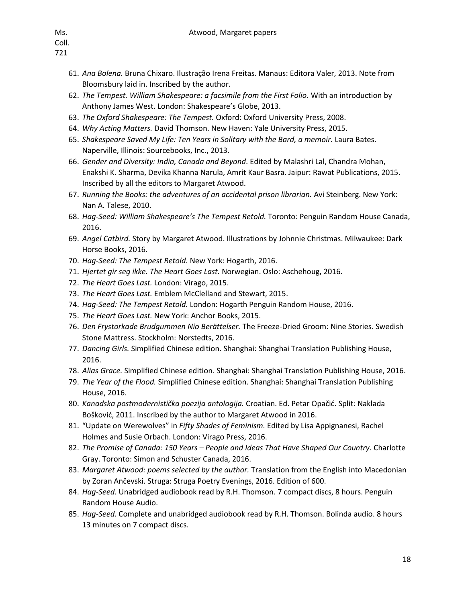- 61. *Ana Bolena.* Bruna Chixaro. Ilustração Irena Freitas. Manaus: Editora Valer, 2013. Note from Bloomsbury laid in. Inscribed by the author.
- 62. *The Tempest. William Shakespeare: a facsimile from the First Folio.* With an introduction by Anthony James West. London: Shakespeare's Globe, 2013.
- 63. *The Oxford Shakespeare: The Tempest.* Oxford: Oxford University Press, 2008.
- 64. *Why Acting Matters.* David Thomson. New Haven: Yale University Press, 2015.
- 65. *Shakespeare Saved My Life: Ten Years in Solitary with the Bard, a memoir.* Laura Bates. Naperville, Illinois: Sourcebooks, Inc., 2013.
- 66. *Gender and Diversity: India, Canada and Beyond*. Edited by Malashri Lal, Chandra Mohan, Enakshi K. Sharma, Devika Khanna Narula, Amrit Kaur Basra. Jaipur: Rawat Publications, 2015. Inscribed by all the editors to Margaret Atwood.
- 67. *Running the Books: the adventures of an accidental prison librarian.* Avi Steinberg. New York: Nan A. Talese, 2010.
- 68. *Hag-Seed: William Shakespeare's The Tempest Retold.* Toronto: Penguin Random House Canada, 2016.
- 69. *Angel Catbird.* Story by Margaret Atwood. Illustrations by Johnnie Christmas. Milwaukee: Dark Horse Books, 2016.
- 70. *Hag-Seed: The Tempest Retold.* New York: Hogarth, 2016.
- 71. *Hjertet gir seg ikke. The Heart Goes Last.* Norwegian. Oslo: Aschehoug, 2016.
- 72. *The Heart Goes Last.* London: Virago, 2015.
- 73. *The Heart Goes Last.* Emblem McClelland and Stewart, 2015.
- 74. *Hag-Seed: The Tempest Retold.* London: Hogarth Penguin Random House, 2016.
- 75. *The Heart Goes Last.* New York: Anchor Books, 2015.
- 76. *Den Frystorkade Brudgummen Nio Berättelser.* The Freeze-Dried Groom: Nine Stories. Swedish Stone Mattress. Stockholm: Norstedts, 2016.
- 77. *Dancing Girls.* Simplified Chinese edition. Shanghai: Shanghai Translation Publishing House, 2016.
- 78. *Alias Grace.* Simplified Chinese edition. Shanghai: Shanghai Translation Publishing House, 2016.
- 79. *The Year of the Flood.* Simplified Chinese edition. Shanghai: Shanghai Translation Publishing House, 2016.
- 80. *Kanadska postmodernistička poezija antologija.* Croatian. Ed. Petar Opačić. Split: Naklada Bošković, 2011. Inscribed by the author to Margaret Atwood in 2016.
- 81. "Update on Werewolves" in *Fifty Shades of Feminism.* Edited by Lisa Appignanesi, Rachel Holmes and Susie Orbach. London: Virago Press, 2016.
- 82. *The Promise of Canada: 150 Years – People and Ideas That Have Shaped Our Country.* Charlotte Gray. Toronto: Simon and Schuster Canada, 2016.
- 83. *Margaret Atwood: poems selected by the author.* Translation from the English into Macedonian by Zoran Ančevski. Struga: Struga Poetry Evenings, 2016. Edition of 600.
- 84. *Hag-Seed.* Unabridged audiobook read by R.H. Thomson. 7 compact discs, 8 hours. Penguin Random House Audio.
- 85. *Hag-Seed.* Complete and unabridged audiobook read by R.H. Thomson. Bolinda audio. 8 hours 13 minutes on 7 compact discs.